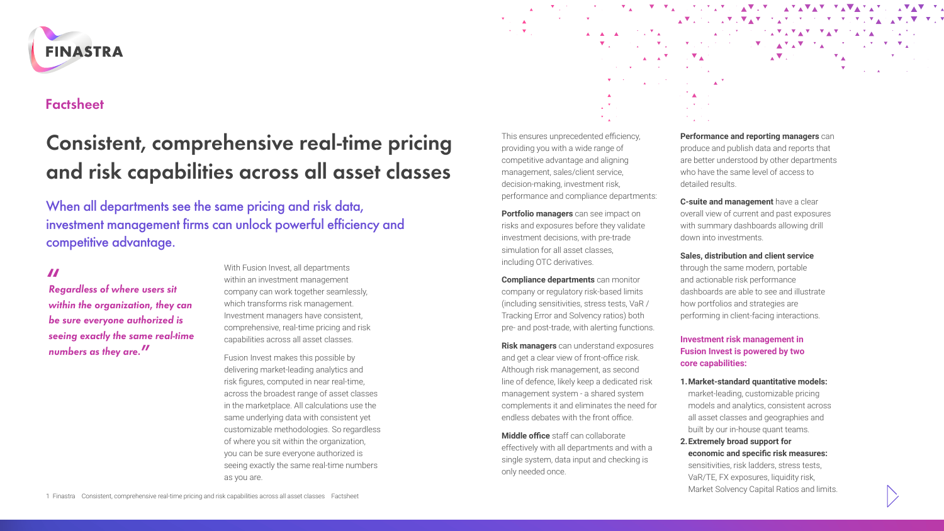

# **Factsheet**

# **Consistent, comprehensive real-time pricing and risk capabilities across all asset classes**

When all departments see the same pricing and risk data, investment management firms can unlock powerful efficiency and competitive advantage.

**"** *Regardless of where users sit within the organization, they can be sure everyone authorized is seeing exactly the same real-time numbers as they are.***"**

With Fusion Invest, all departments within an investment management company can work together seamlessly, which transforms risk management. Investment managers have consistent, comprehensive, real-time pricing and risk capabilities across all asset classes.

Fusion Invest makes this possible by delivering market-leading analytics and risk figures, computed in near real-time, across the broadest range of asset classes in the marketplace. All calculations use the same underlying data with consistent yet customizable methodologies. So regardless of where you sit within the organization, you can be sure everyone authorized is seeing exactly the same real-time numbers as you are.

This ensures unprecedented efficiency, providing you with a wide range of competitive advantage and aligning management, sales/client service, decision-making, investment risk, performance and compliance departments:

**Portfolio managers** can see impact on risks and exposures before they validate investment decisions, with pre-trade simulation for all asset classes, including OTC derivatives.

**Compliance departments** can monitor company or regulatory risk-based limits (including sensitivities, stress tests, VaR / Tracking Error and Solvency ratios) both pre- and post-trade, with alerting functions.

**Risk managers** can understand exposures and get a clear view of front-office risk. Although risk management, as second line of defence, likely keep a dedicated risk management system - a shared system complements it and eliminates the need for endless debates with the front office.

**Middle office** staff can collaborate effectively with all departments and with a single system, data input and checking is only needed once.

# **Performance and reporting managers** can produce and publish data and reports that are better understood by other departments who have the same level of access to detailed results.

A A A TUTA CONTACT A CONTACT AT A TATAL  $\overline{\nabla}_A \cdot \nabla_{A} \cdot \nabla_A \cdot \nabla_A \cdot \nabla_A \cdot \nabla_A \cdot \nabla_A \cdot \nabla_A \cdot \nabla_A \cdot \nabla_A \cdot \nabla_A \cdot \nabla_A \cdot \nabla_A \cdot \nabla_A \cdot \nabla_A \cdot \nabla_A$ 

 $\mathbb{Z}^{\mathcal{F}}$ 

 $\label{eq:Riccati} \begin{array}{l} \mathbf{A} = \mathbf{A}^\top \mathbf{A} = \mathbf{A}^\top \mathbf{A}^\top \mathbf{A} \end{array}$  where  $\mathbf{A} = \mathbf{A}^\top \mathbf{A}^\top \mathbf{A}$ 

 $\label{eq:1} \nabla_{\mathbf{z}} \left( \mathbf{z} \right) = \nabla_{\mathbf{z}} \left( \mathbf{z} \right) = \nabla_{\mathbf{z}} \left( \mathbf{z} \right) = \nabla_{\mathbf{z}} \left( \mathbf{z} \right) = \nabla_{\mathbf{z}} \left( \mathbf{z} \right) = \nabla_{\mathbf{z}} \left( \mathbf{z} \right) = \nabla_{\mathbf{z}} \left( \mathbf{z} \right) = \nabla_{\mathbf{z}} \left( \mathbf{z} \right) = \nabla_{\mathbf{z}} \left( \mathbf{z} \$ 

<u>YA YA YA SISIYAY SAYAY AYAYAY YAVAYAY SAYAY YA</u>

 $\label{eq:1} \mathbf{A} \mathbf{V} \mathbf{A}^{(0)} = \mathbf{A} \mathbf{V} \mathbf{A}^{(0)}$ 

 $\mathbb{E}_{\mathbf{A}}\mathbf{V}_{\mathbf{A}}\otimes\mathbb{E}_{\mathbf{A}}\otimes\mathbf{V}_{\mathbf{A}}\mathbf{V}_{\mathbf{A}}\mathbf{V}_{\mathbf{A}}\otimes\mathbf{V}_{\mathbf{A}}\otimes\mathbf{V}_{\mathbf{A}}\otimes\mathbf{V}_{\mathbf{A}}\otimes\mathbf{V}_{\mathbf{A}}\otimes\mathbf{V}_{\mathbf{A}}\otimes\mathbf{V}_{\mathbf{A}}\otimes\mathbf{V}_{\mathbf{A}}\mathbf{V}_{\mathbf{A}}\otimes\mathbf{V}_{\mathbf{A}}\otimes\mathbf{V}_{\$ 

**C-suite and management** have a clear overall view of current and past exposures with summary dashboards allowing drill down into investments.

**Sales, distribution and client service**

through the same modern, portable and actionable risk performance dashboards are able to see and illustrate how portfolios and strategies are performing in client-facing interactions.

# **Investment risk management in Fusion Invest is powered by two core capabilities:**

- **1.Market-standard quantitative models:** market-leading, customizable pricing models and analytics, consistent across all asset classes and geographies and built by our in-house quant teams.
- **2.Extremely broad support for economic and specific risk measures:** sensitivities, risk ladders, stress tests, VaR/TE, FX exposures, liquidity risk, Market Solvency Capital Ratios and limits.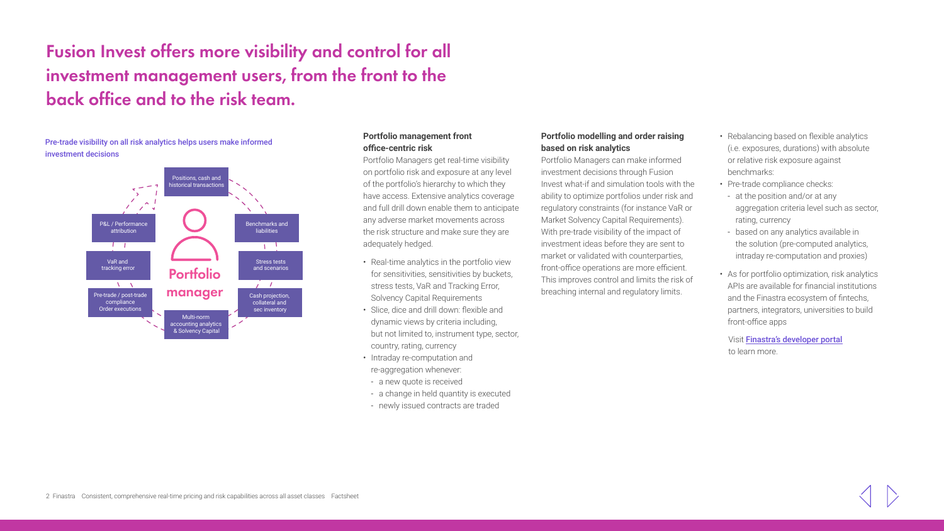**Fusion Invest offers more visibility and control for all investment management users, from the front to the back office and to the risk team.** 

# Pre-trade visibility on all risk analytics helps users make informed investment decisions



# **Portfolio management front office-centric risk**

Portfolio Managers get real-time visibility on portfolio risk and exposure at any level of the portfolio's hierarchy to which they have access. Extensive analytics coverage and full drill down enable them to anticipate any adverse market movements across the risk structure and make sure they are adequately hedged.

- Real-time analytics in the portfolio view for sensitivities, sensitivities by buckets, stress tests, VaR and Tracking Error, Solvency C[a](http://www.finastra.com/)pital Requirements
- Slice, dice and drill down: flexible and dynamic views by criteria including, but not limited to, instrument type, sector, country, rating, currency
- Intraday re-computation and re-aggregation whenever:
- a new quote is received
- a change in held quantity is executed
- newly issued contracts are traded

# **Portfolio modelling and order raising based on risk analytics**

Portfolio Managers can make informed investment decisions through Fusion Invest what-if and simulation tools with the ability to optimize portfolios under risk and regulatory constraints (for instance VaR or Market Solvency Capital Requirements). With pre-trade visibility of the impact of investment ideas before they are sent to market or validated with counterparties, front-office operations are more efficient. This improves control and limits the risk of breaching internal and regulatory limits.

- Rebalancing based on flexible analytics (i.e. exposures, durations) with absolute or relative risk exposure against benchmarks:
- Pre-trade compliance checks:
- at the position and/or at any aggregation criteria level such as sector, rating, currency
- based on any analytics available in the solution (pre-computed analytics, intraday re-computation and proxies)
- As for portfolio optimization, risk analytics APIs are available for financial institutions and the Finastra ecosystem of fintechs, partners, integrators, universities to build front-office apps

Visit [Finastra's developer portal](https://developer.fusionfabric.cloud/) to learn more.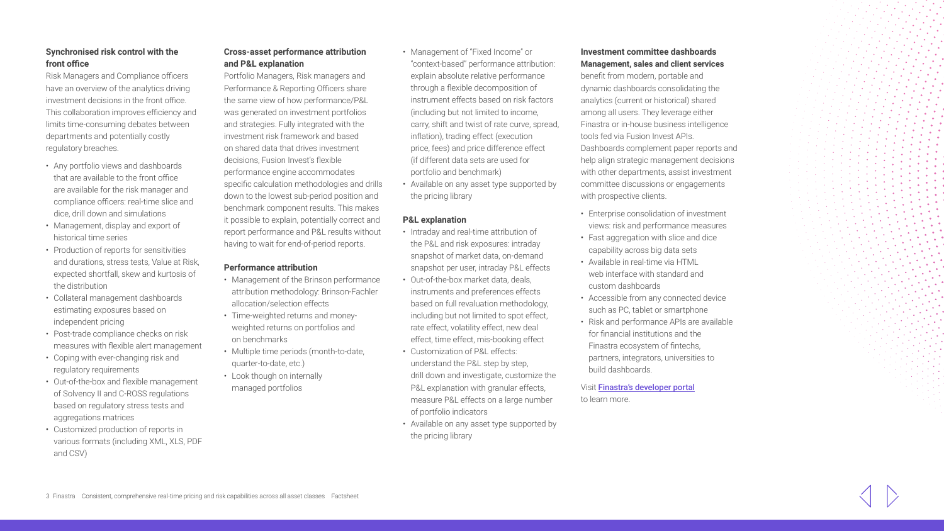# **Synchronised risk control with the front office**

Risk Managers and Compliance officers have an overview of the analytics driving investment decisions in the front office. This collaboration improves efficiency and limits time-consuming debates between departments and potentially costly regulatory breaches.

- Any portfolio views and dashboards that are available to the front office are available for the risk manager and compliance officers: real-time slice and dice, drill down and simulations
- Management, display and export of historical time series
- Production of reports for sensitivities and durations, stress tests, Value at Risk, expected shortfall, skew and kurtosis of the distribution
- Collateral management dashboards estimating exposures based on independent pricing
- Post-trade compliance checks on risk measures with flexible alert management
- Coping with ever-changing risk and regulatory requirements
- Out-of-the-box and flexible management of Solvency II and C-ROSS regulations based on regulatory stress tests and aggregations matrices
- Customized production of reports in various formats (including XML, XLS, PDF and CSV)

# **Cross-asset performance attribution and P&L explanation**

Portfolio Managers, Risk managers and Performance & Reporting Officers share the same view of how performance/P&L was generated on investment portfolios and strategies. Fully integrated with the investment risk framework and based on shared data that drives investment decisions, Fusion Invest's flexible performance engine accommodates specific calculation methodologies and drills down to the lowest sub-period position and benchmark component results. This makes it possible to explain, potentially correct and report performance and P&L results without having to wait for end-of-period reports.

# **Performance attribution**

- Management of the Brinson performance attribution methodology: Brinson-Fachler allocation/selection effects
- Time-weighted returns and moneyweighted returns on portfolios and on benchmarks
- Multiple time periods (month-to-date, quarter-to-date, etc.)
- Look though on internally managed portfolios
- Management of "Fixed Income" or "context-based" performance attribution: explain absolute relative performance through a flexible decomposition of instrument effects based on risk factors (including but not limited to income, carry, shift and twist of rate curve, spread, inflation), trading effect (execution price, fees) and price difference effect (if different data sets are used for portfolio and benchmark)
- Available on any asset type supported by the pricing library

# **P&L explanation**

- Intraday and real-time attribution of the P&L and risk exposures: intraday snapshot of market data, on-demand snapshot per user, intraday P&L effects
- Out-of-the-box market data, deals [in](http://www.finastra.com/)struments and preferences effects based on full revaluation methodology, including but not limited to spot effect, rate effect, volatility effect, new deal effect, time effect, mis-booking effect
- Customization of P&L effects: understand the P&L step by step, drill down and investigate, customize the P&L explanation with granular effects, measure P&L effects on a large number of portfolio indicators
- Available on any asset type supported by the pricing library

# **Investment committee dashboards Management, sales and client services**

benefit from modern, portable and dynamic dashboards consolidating the analytics (current or historical) shared among all users. They leverage either Finastra or in-house business intelligence tools fed via Fusion Invest APIs. Dashboards complement paper reports and help align strategic management decisions with other departments, assist investment committee discussions or engagements with prospective clients.

- Enterprise consolidation of investment views: risk and performance measures
- Fast aggregation with slice and dice capability across big data sets
- Available in real-time via HTML web interface with standard and custom dashboards
- Accessible from any connected device such as PC, tablet or smartphone
- Risk and performance APIs are available for financial institutions and the Finastra ecosystem of fintechs, partners, integrators, universities to build dashboards.

# Visit [Finastra's developer portal](https://developer.fusionfabric.cloud/) to learn more.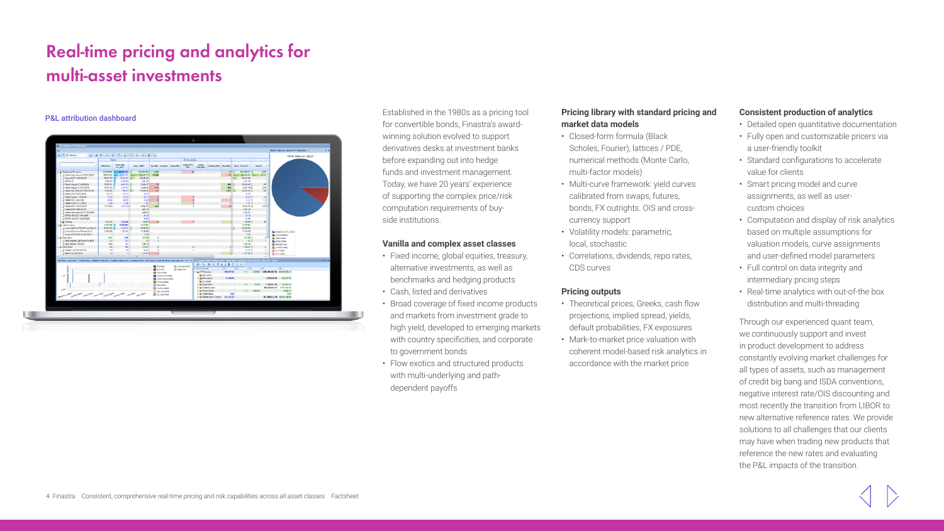# **Real-time pricing and analytics for multi-asset investments**

#### P&L attribution dashboard



Established in the 1980s as a pricing tool for convertible bonds, Finastra's awardwinning solution evolved to support derivatives desks at investment banks before expanding out into hedge funds and investment management. Today, we have 20 years' experience of supporting the complex price/risk computation requirements of buyside institutions.

# **Vanilla and complex asset classes**

- Fixed income, global equities, treasury, alternative investments, as well as benchmarks and hedging products
- Cash, [li](http://www.finastra.com/)sted and derivatives
- Broad coverage of fixed income products and markets from investment grade to high yield, developed to emerging markets with country specificities, and corporate to government bonds
- Flow exotics and structured products with multi-underlying and pathdependent payoffs

# **Pricing library with standard pricing and market data models**

- Closed-form formula (Black Scholes, Fourier), lattices / PDE, numerical methods (Monte Carlo, multi-factor models)
- Multi-curve framework: yield curves calibrated from swaps, futures, bonds, FX outrights. OIS and crosscurrency support
- Volatility models: parametric, local, stochastic
- Correlations, dividends, repo rates, CDS curves

# **Pricing outputs**

- Theoretical prices, Greeks, cash flow projections, implied spread, yields, default probabilities, FX exposures
- Mark-to-market price valuation with coherent model-based risk analytics in accordance with the market price

# **Consistent production of analytics**

- Detailed open quantitative documentation
- Fully open and customizable pricers via a user-friendly toolkit
- Standard configurations to accelerate value for clients
- Smart pricing model and curve assignments, as well as usercustom choices
- Computation and display of risk analytics based on multiple assumptions for valuation models, curve assignments and user-defined model parameters
- Full control on data integrity and intermediary pricing steps
- Real-time analytics with out-of-the box distribution and multi-threading

Through our experienced quant team, we continuously support and invest in product development to address constantly evolving market challenges for all types of assets, such as management of credit big bang and ISDA conventions, negative interest rate/OIS discounting and most recently the transition from LIBOR to new alternative reference rates. We provide solutions to all challenges that our clients may have when trading new products that reference the new rates and evaluating the P&L impacts of the transition.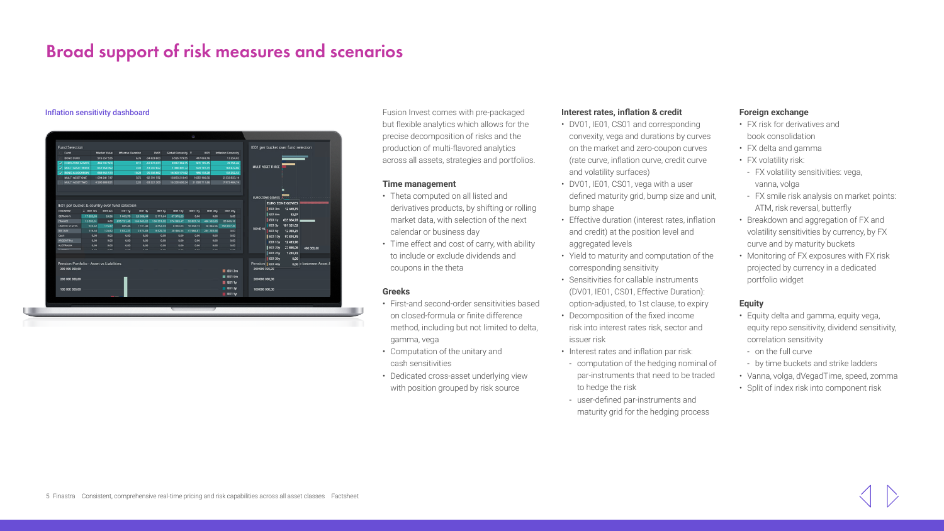# **Broad support of risk measures and scenarios**

#### Inflation sensitivity dashboard



Fusion Invest comes with pre-packaged but flexible analytics which allows for the precise decomposition of risks and the production of multi-flavored analytics across all assets, strategies and portfolios.

#### **Time management**

- Theta computed on all listed and derivatives products, by shifting or rolling market data, with selection of the next calendar or business day
- Time effect and cost of carry, with ability to include or exclude dividends and coupons in the theta

#### **Greeks**

- First-and second-order sensitivities based on closed-formula or finite difference method, including but not limited to delta, gamma, vega
- Computation of the unitary and cash sensitivities
- Dedicated cross-asset underlying view with position grouped by risk source

# **Interest rates, inflation & credit**

- DV01, IE01, CS01 and corresponding convexity, vega and durations by curves on the market and zero-coupon curves (rate curve, inflation curve, credit curve and volatility surfaces)
- DV01, IE01, CS01, vega with a user defined maturity grid, bump size and unit, bump shape
- Effective duration (interest rates, inflation and credit) at the position level and aggregated levels
- Yield to maturity and computation of the corresponding sensitivity
- Sensitivities for callable instruments (DV01, IE01, CS01, Effective Duration): option-adjusted, to 1st clause, to expiry
- Decomposition of the fixed income risk into interest rates risk, sector and issuer risk
- Interest rates and inflation par risk:
- computation of the hedging nominal of par-instruments that need to be traded to hedge the risk
- user-defined par-instruments and maturity grid for the hedging process

# **Foreign exchange**

- FX risk for derivatives and book consolidation
- FX delta and gamma
- FX volatility risk:
- FX volatility sensitivities: vega, vanna, volga
- FX smile risk analysis on market points: ATM, risk reversal, butterfly
- Breakdown and aggregation of FX and volatility sensitivities by currency, by FX curve and by maturity buckets
- Monitoring of FX exposures with FX risk projected by currency in a dedicated portfolio widget

# **Equity**

- Equity delta and gamma, equity vega, equity repo sensitivity, dividend sensitivity, correlation sensitivity
- on the full curve
- by time buckets and strike ladders
- Vanna, volga, dVegadTime, speed, zomma
- Split of index risk into component risk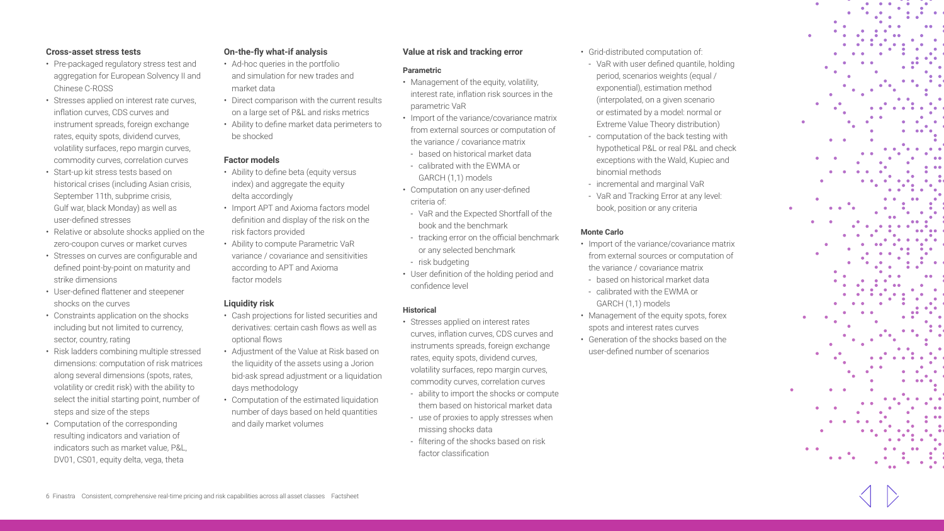#### **Cross-asset stress tests**

- Pre-packaged regulatory stress test and aggregation for European Solvency II and Chinese C-ROSS
- Stresses applied on interest rate curves, inflation curves, CDS curves and instrument spreads, foreign exchange rates, equity spots, dividend curves, volatility surfaces, repo margin curves, commodity curves, correlation curves
- Start-up kit stress tests based on historical crises (including Asian crisis, September 11th, subprime crisis, Gulf war, black Monday) as well as user-defined stresses
- Relative or absolute shocks applied on the zero-coupon curves or market curves
- Stresses on curves are configurable and defined point-by-point on maturity and strike dimensions
- User-defined flattener and steepener shocks on the curves
- Constraints application on the shocks including but not limited to currency, sector, country, rating
- Risk ladders combining multiple stressed dimensions: computation of risk matrices along several dimensions (spots, rates, volatility or credit risk) with the ability to select the initial starting point, number of steps and size of the steps
- Computation of the corresponding resulting indicators and variation of indicators such as market value, P&L, DV01, CS01, equity delta, vega, theta

# **On-the-fly what-if analysis**

- Ad-hoc queries in the portfolio and simulation for new trades and market data
- Direct comparison with the current results on a large set of P&L and risks metrics
- Ability to define market data perimeters to be shocked

#### **Factor models**

- Ability to define beta (equity versus index) and aggregate the equity delta accordingly
- Import APT and Axioma factors model definition and display of the risk on the risk factors provided
- Ability to compute Parametric VaR variance / covariance and sensitivities according to APT and Axioma factor models

# **Liquidity risk**

- Cash projections for listed securities and derivatives: certain cash flows as well as optional flows
- Adjustment of the Value at Risk based on the liquidity of the assets using a Jorion bid-ask spread adjustment or a liquidation days methodology
- Computation of the estimated liquidation number of days based on held quantities and daily market volumes

# **Value at risk and tracking error**

#### **Parametric**

- Management of the equity, volatility, interest rate, inflation risk sources in the parametric VaR
- Import of the variance/covariance matrix from external sources or computation of the variance / covariance matrix
- based on historical market data - calibrated with the EWMA or GARCH (1,1) models
- Computation on any user-defined criteria of:
- VaR and the Expected Shortfall of the book and the benchmark
- tracking error on the official benchmark or any selected benchmark
- risk budgeting
- User definition of the holding period and confidence level

# **Historical**

- Stresses applied on interest rates curves, inflation curves, CDS curves and instruments spreads, foreign exchange rates, equity spots, dividend curves, volatility surfaces, repo margin curves, commodity curves, correlation curves
- ability to import the shocks or compute them based on historical market data
- use of proxies to apply stresses when missing shocks data
- filtering of the shocks based on risk factor classification
- Grid-distributed computation of:
- VaR with user defined quantile, holding period, scenarios weights (equal / exponential), estimation method (interpolated, on a given scenario or estimated by a model: normal or Extreme Value Theory distribution)
- computation of the back testing with hypothetical P&L or real P&L and check exceptions with the Wald, Kupiec and binomial methods
- incremental and marginal VaR
- VaR and Tracking Error at any level: book, position or any criteria

#### **Monte Carlo**

- Import of the variance/covariance matrix from external sources or computation of the variance / covariance matrix
- based on historical market data
- calibrated with the EWMA or GARCH (1,1) models
- Management of the equity spots, forex spots and interest rates curves
- Generation of the shocks based on the user-defined number of scenarios